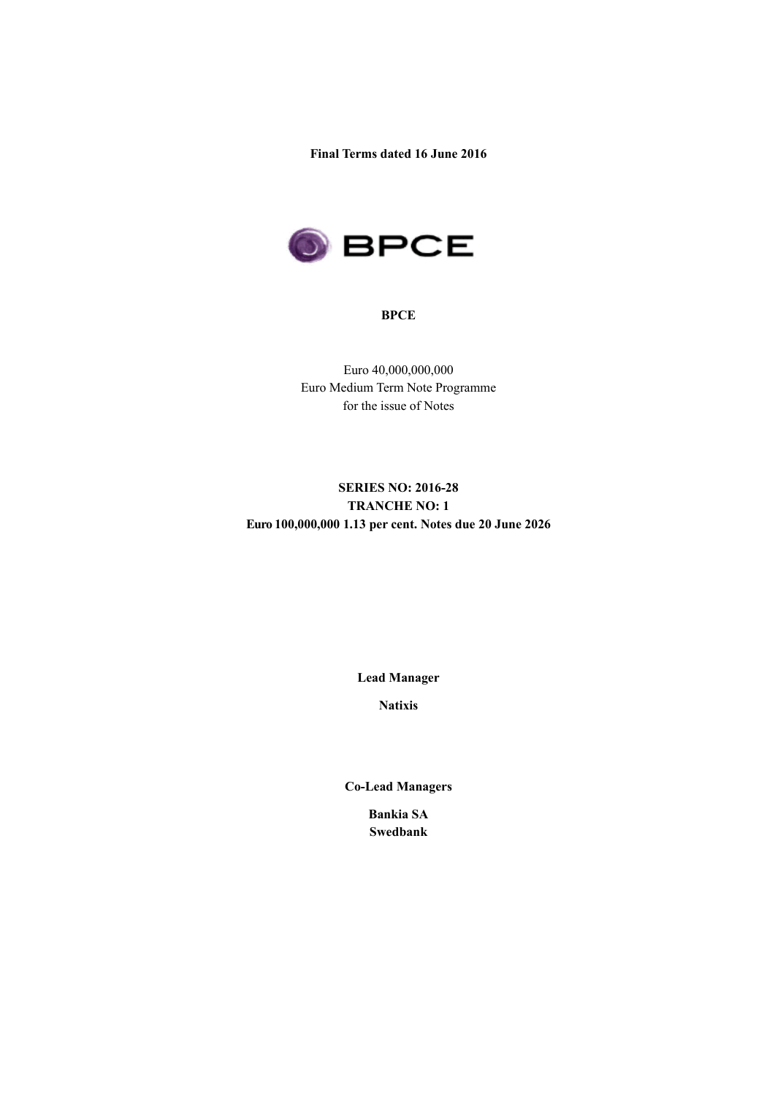**Final Terms dated 16 June 2016**



#### **BPCE**

Euro 40,000,000,000 Euro Medium Term Note Programme for the issue of Notes

# **SERIES NO: 2016-28 TRANCHE NO: 1 Euro 100,000,000 1.13 per cent. Notes due 20 June 2026**

**Lead Manager**

**Natixis**

**Co-Lead Managers**

**Bankia SA Swedbank**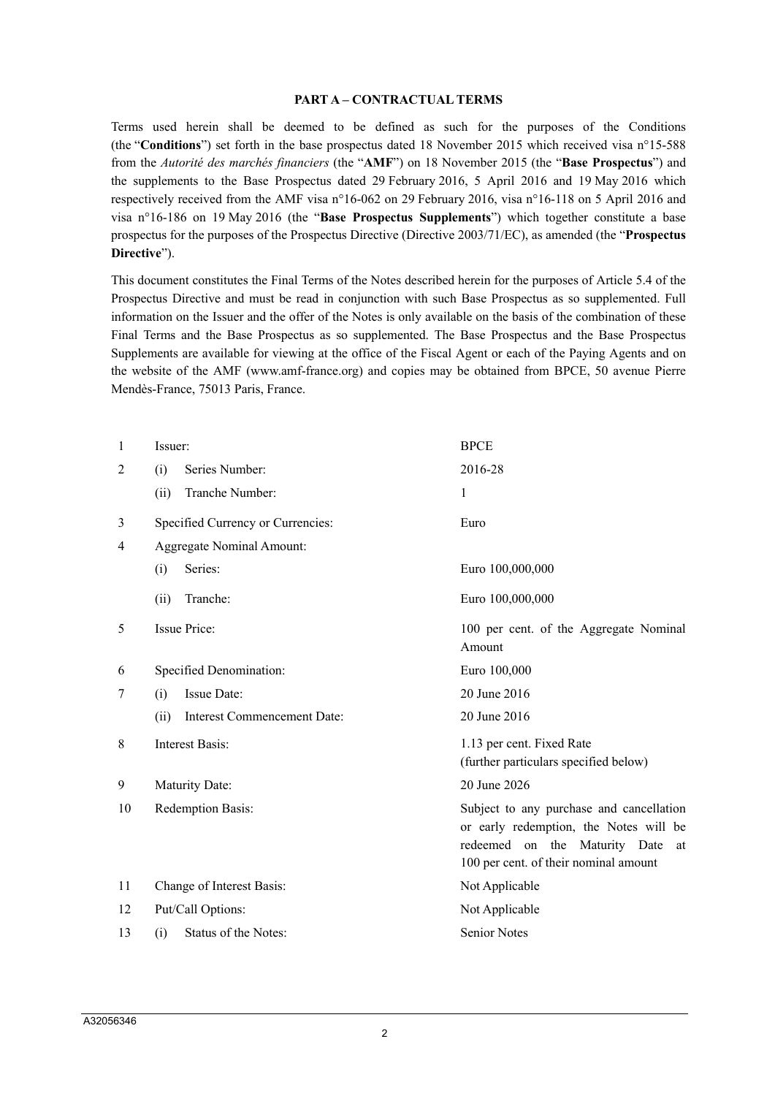#### **PART A – CONTRACTUAL TERMS**

Terms used herein shall be deemed to be defined as such for the purposes of the Conditions (the "**Conditions**") set forth in the base prospectus dated 18 November 2015 which received visa n°15-588 from the *Autorité des marchés financiers* (the "**AMF**") on 18 November 2015 (the "**Base Prospectus**") and the supplements to the Base Prospectus dated 29 February 2016, 5 April 2016 and 19 May 2016 which respectively received from the AMF visa n°16-062 on 29 February 2016, visa n°16-118 on 5 April 2016 and visa n°16-186 on 19 May 2016 (the "**Base Prospectus Supplements**") which together constitute a base prospectus for the purposes of the Prospectus Directive (Directive 2003/71/EC), as amended (the "**Prospectus Directive**").

This document constitutes the Final Terms of the Notes described herein for the purposes of Article 5.4 of the Prospectus Directive and must be read in conjunction with such Base Prospectus as so supplemented. Full information on the Issuer and the offer of the Notes is only available on the basis of the combination of these Final Terms and the Base Prospectus as so supplemented. The Base Prospectus and the Base Prospectus Supplements are available for viewing at the office of the Fiscal Agent or each of the Paying Agents and on the website of the AMF (www.amf-france.org) and copies may be obtained from BPCE, 50 avenue Pierre Mendès-France, 75013 Paris, France.

| 1              | Issuer:                             | <b>BPCE</b>                                                                                                                                                        |  |  |
|----------------|-------------------------------------|--------------------------------------------------------------------------------------------------------------------------------------------------------------------|--|--|
| $\overline{2}$ | 2016-28<br>Series Number:           |                                                                                                                                                                    |  |  |
|                | Tranche Number:<br>(ii)             | 1                                                                                                                                                                  |  |  |
| 3              | Specified Currency or Currencies:   | Euro                                                                                                                                                               |  |  |
| $\overline{4}$ | Aggregate Nominal Amount:           |                                                                                                                                                                    |  |  |
|                | Series:<br>(i)                      | Euro 100,000,000                                                                                                                                                   |  |  |
|                | Tranche:<br>(ii)                    | Euro 100,000,000                                                                                                                                                   |  |  |
| 5              | Issue Price:                        | 100 per cent. of the Aggregate Nominal<br>Amount                                                                                                                   |  |  |
| 6              | Specified Denomination:             | Euro 100,000                                                                                                                                                       |  |  |
| 7              | Issue Date:<br>(i)                  | 20 June 2016                                                                                                                                                       |  |  |
|                | (ii)<br>Interest Commencement Date: | 20 June 2016                                                                                                                                                       |  |  |
| 8              | <b>Interest Basis:</b>              | 1.13 per cent. Fixed Rate<br>(further particulars specified below)                                                                                                 |  |  |
| 9              | Maturity Date:                      | 20 June 2026                                                                                                                                                       |  |  |
| 10             | Redemption Basis:                   | Subject to any purchase and cancellation<br>or early redemption, the Notes will be<br>redeemed on the Maturity Date<br>at<br>100 per cent. of their nominal amount |  |  |
| 11             | Change of Interest Basis:           | Not Applicable                                                                                                                                                     |  |  |
| 12             | Put/Call Options:                   | Not Applicable                                                                                                                                                     |  |  |
| 13             | Status of the Notes:<br>(i)         | <b>Senior Notes</b>                                                                                                                                                |  |  |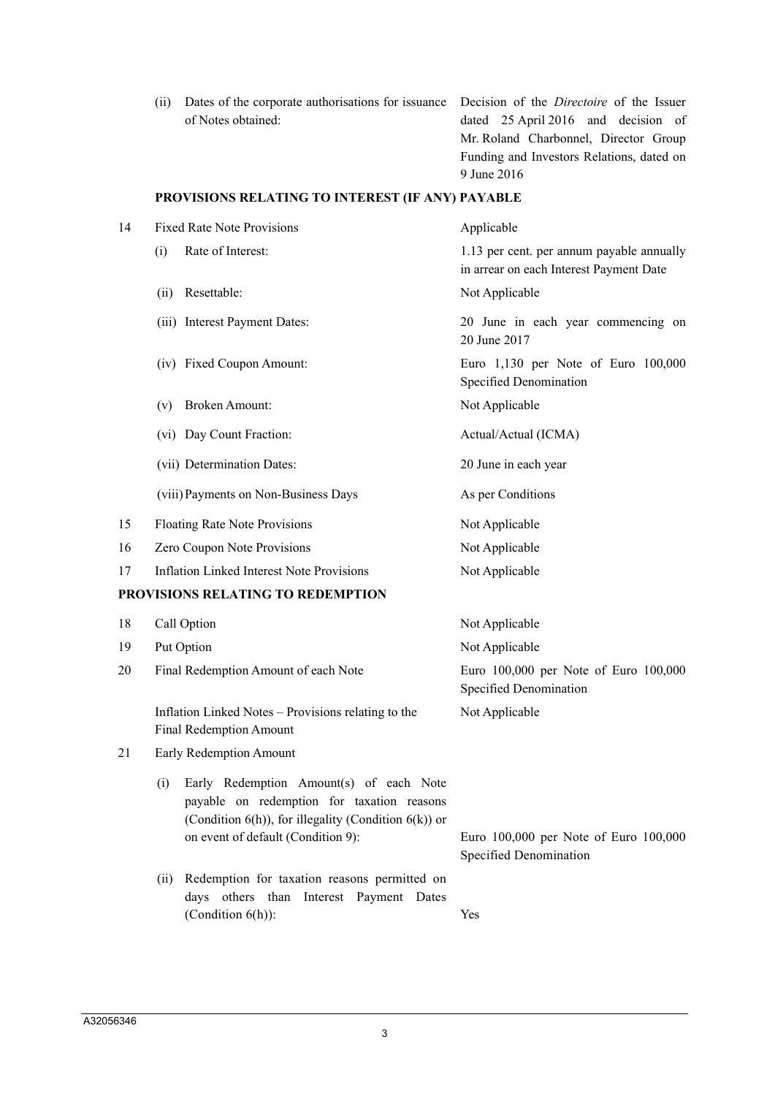(ii) Dates of the corporate authorisations for issuance Decision of the *Directoire* of the Issuer of Notes obtained:

dated 25 April 2016 and decision of Mr. Roland Charbonnel, Director Group Funding and Investors Relations, dated on 9 June 2016

### **PROVISIONS RELATING TO INTEREST (IF ANY) PAYABLE**

| 14 | <b>Fixed Rate Note Provisions</b>                                                                                                                                                                | Applicable                                                                           |  |  |  |
|----|--------------------------------------------------------------------------------------------------------------------------------------------------------------------------------------------------|--------------------------------------------------------------------------------------|--|--|--|
|    | Rate of Interest:<br>(i)                                                                                                                                                                         | 1.13 per cent. per annum payable annually<br>in arrear on each Interest Payment Date |  |  |  |
|    | Resettable:<br>(ii)                                                                                                                                                                              | Not Applicable                                                                       |  |  |  |
|    | (iii) Interest Payment Dates:                                                                                                                                                                    | 20 June in each year commencing on<br>20 June 2017                                   |  |  |  |
|    | (iv) Fixed Coupon Amount:                                                                                                                                                                        | Euro 1,130 per Note of Euro 100,000<br>Specified Denomination                        |  |  |  |
|    | <b>Broken Amount:</b><br>(v)                                                                                                                                                                     | Not Applicable                                                                       |  |  |  |
|    | (vi) Day Count Fraction:                                                                                                                                                                         | Actual/Actual (ICMA)                                                                 |  |  |  |
|    | (vii) Determination Dates:                                                                                                                                                                       | 20 June in each year                                                                 |  |  |  |
|    | (viii) Payments on Non-Business Days                                                                                                                                                             | As per Conditions                                                                    |  |  |  |
| 15 | Floating Rate Note Provisions                                                                                                                                                                    | Not Applicable                                                                       |  |  |  |
| 16 | Zero Coupon Note Provisions                                                                                                                                                                      | Not Applicable                                                                       |  |  |  |
| 17 | <b>Inflation Linked Interest Note Provisions</b>                                                                                                                                                 | Not Applicable                                                                       |  |  |  |
|    | PROVISIONS RELATING TO REDEMPTION                                                                                                                                                                |                                                                                      |  |  |  |
| 18 | Call Option                                                                                                                                                                                      | Not Applicable                                                                       |  |  |  |
| 19 | Put Option                                                                                                                                                                                       | Not Applicable                                                                       |  |  |  |
| 20 | Final Redemption Amount of each Note                                                                                                                                                             | Euro 100,000 per Note of Euro 100,000<br>Specified Denomination                      |  |  |  |
|    | Inflation Linked Notes – Provisions relating to the<br><b>Final Redemption Amount</b>                                                                                                            | Not Applicable                                                                       |  |  |  |
| 21 | Early Redemption Amount                                                                                                                                                                          |                                                                                      |  |  |  |
|    | Early Redemption Amount(s) of each Note<br>(i)<br>payable on redemption for taxation reasons<br>(Condition $6(h)$ ), for illegality (Condition $6(k)$ ) or<br>on event of default (Condition 9): | Euro 100,000 per Note of Euro 100,000                                                |  |  |  |
|    |                                                                                                                                                                                                  | Specified Denomination                                                               |  |  |  |
|    | Redemption for taxation reasons permitted on<br>(ii)<br>days others than Interest Payment Dates                                                                                                  |                                                                                      |  |  |  |
|    | (Condition $6(h)$ ):                                                                                                                                                                             | Yes                                                                                  |  |  |  |
|    |                                                                                                                                                                                                  |                                                                                      |  |  |  |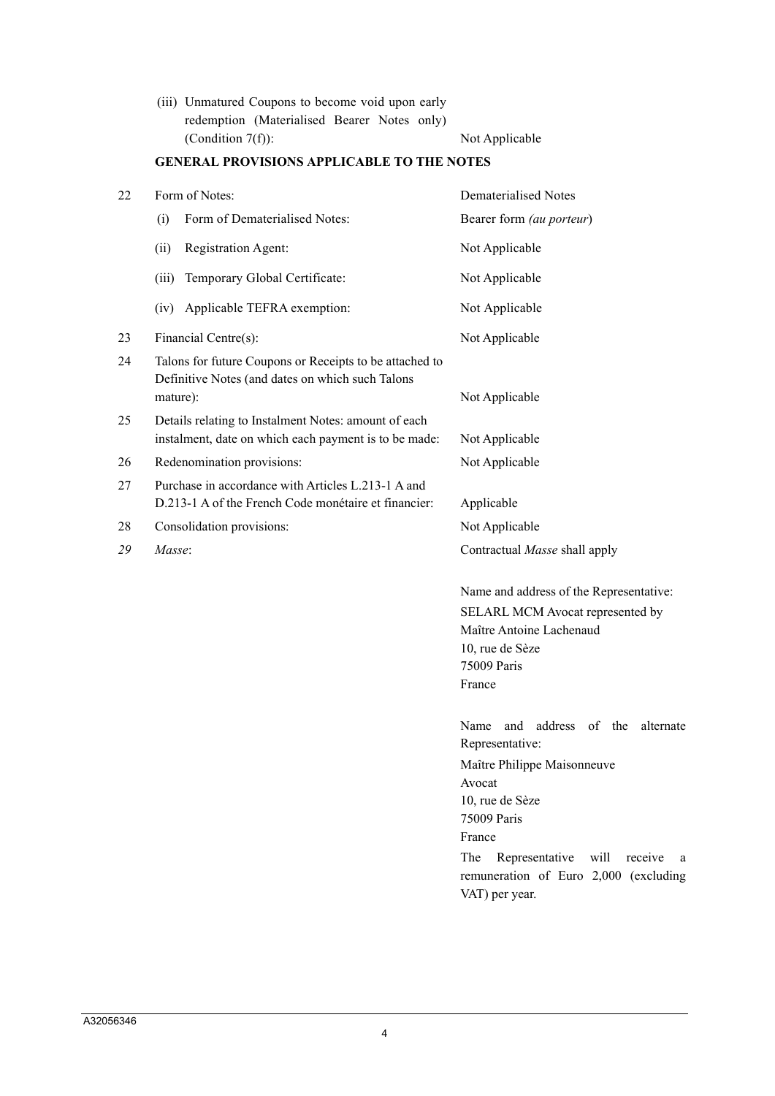(iii) Unmatured Coupons to become void upon early redemption (Materialised Bearer Notes only) (Condition 7(f)): Not Applicable

# **GENERAL PROVISIONS APPLICABLE TO THE NOTES**

|                                                                                                                         | Dematerialised Notes                                                                                                                                                                                                                                           |
|-------------------------------------------------------------------------------------------------------------------------|----------------------------------------------------------------------------------------------------------------------------------------------------------------------------------------------------------------------------------------------------------------|
| Form of Dematerialised Notes:<br>(i)                                                                                    | Bearer form (au porteur)                                                                                                                                                                                                                                       |
| Registration Agent:<br>(ii)                                                                                             | Not Applicable                                                                                                                                                                                                                                                 |
| Temporary Global Certificate:<br>(iii)                                                                                  | Not Applicable                                                                                                                                                                                                                                                 |
| Applicable TEFRA exemption:<br>(iv)                                                                                     | Not Applicable                                                                                                                                                                                                                                                 |
| Financial Centre(s):                                                                                                    | Not Applicable                                                                                                                                                                                                                                                 |
| Talons for future Coupons or Receipts to be attached to<br>Definitive Notes (and dates on which such Talons<br>mature): | Not Applicable                                                                                                                                                                                                                                                 |
| Details relating to Instalment Notes: amount of each<br>instalment, date on which each payment is to be made:           | Not Applicable                                                                                                                                                                                                                                                 |
| Redenomination provisions:                                                                                              | Not Applicable                                                                                                                                                                                                                                                 |
| Purchase in accordance with Articles L.213-1 A and<br>D.213-1 A of the French Code monétaire et financier:              | Applicable                                                                                                                                                                                                                                                     |
| Consolidation provisions:                                                                                               | Not Applicable                                                                                                                                                                                                                                                 |
| Masse:                                                                                                                  | Contractual Masse shall apply                                                                                                                                                                                                                                  |
|                                                                                                                         | Name and address of the Representative:<br>SELARL MCM Avocat represented by<br>Maître Antoine Lachenaud<br>10, rue de Sèze<br>75009 Paris<br>France                                                                                                            |
|                                                                                                                         | address of the<br>Name<br>and<br>alternate<br>Representative:<br>Maître Philippe Maisonneuve<br>Avocat<br>10, rue de Sèze<br>75009 Paris<br>France<br>The<br>Representative<br>will<br>receive<br>a<br>remuneration of Euro 2,000 (excluding<br>VAT) per year. |
|                                                                                                                         | Form of Notes:                                                                                                                                                                                                                                                 |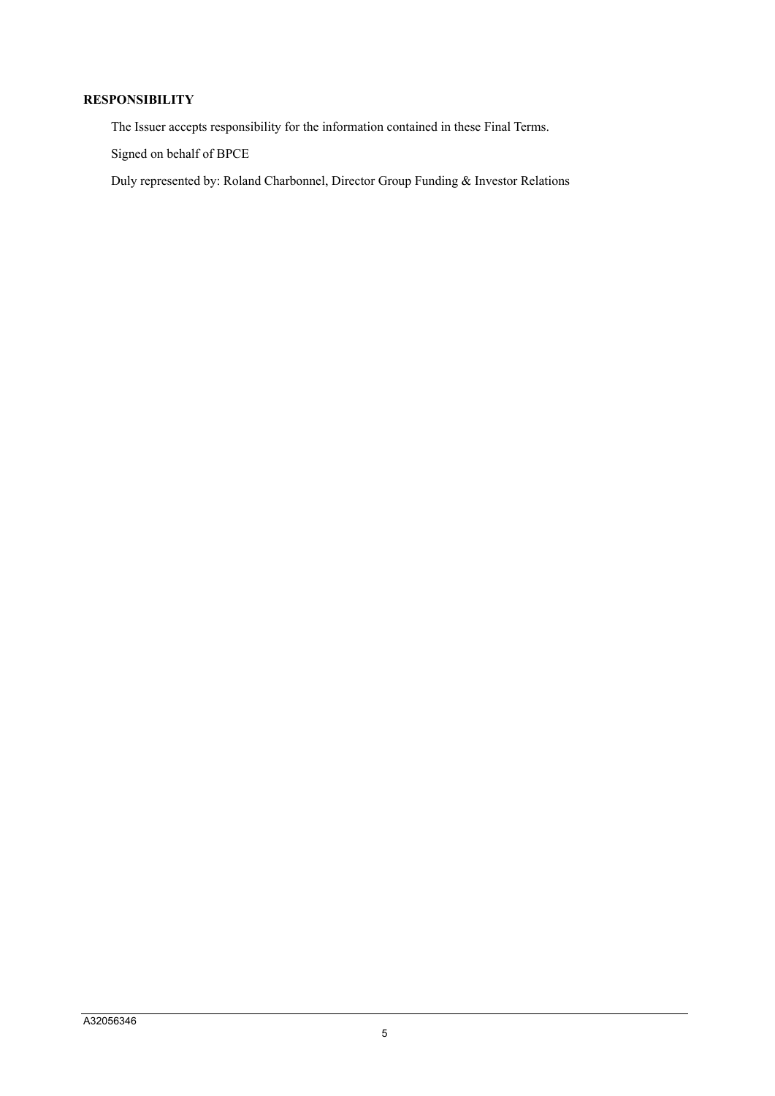## **RESPONSIBILITY**

The Issuer accepts responsibility for the information contained in these Final Terms.

Signed on behalf of BPCE

Duly represented by: Roland Charbonnel, Director Group Funding & Investor Relations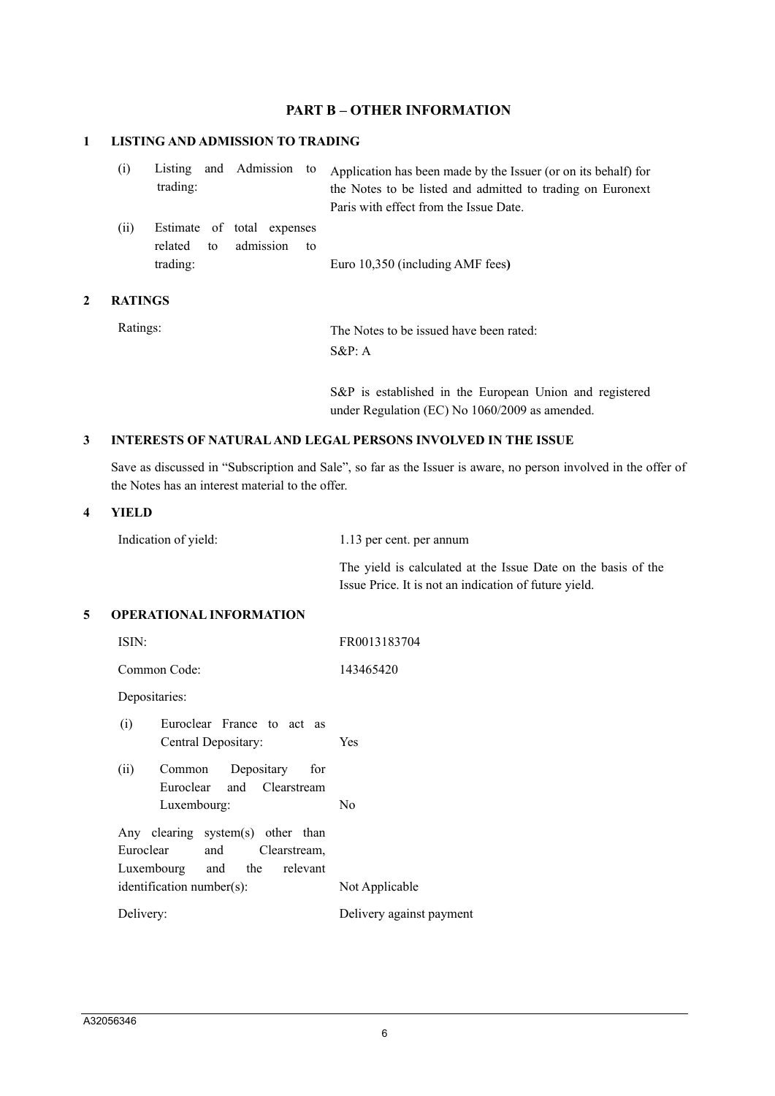## **PART B – OTHER INFORMATION**

## **1 LISTING AND ADMISSION TO TRADING**

| (i)  | trading:                   |  |  | Listing and Admission to Application has been made by the Issuer (or on its behalf) for<br>the Notes to be listed and admitted to trading on Euronext<br>Paris with effect from the Issue Date. |
|------|----------------------------|--|--|-------------------------------------------------------------------------------------------------------------------------------------------------------------------------------------------------|
| (ii) | Estimate of total expenses |  |  |                                                                                                                                                                                                 |

related to admission to trading: Euro 10,350 (including AMF fees**)**

### **2 RATINGS**

Ratings: The Notes to be issued have been rated: S&P: A

> S&P is established in the European Union and registered under Regulation (EC) No 1060/2009 as amended.

## **3 INTERESTS OF NATURAL AND LEGAL PERSONS INVOLVED IN THE ISSUE**

Save as discussed in "Subscription and Sale", so far as the Issuer is aware, no person involved in the offer of the Notes has an interest material to the offer.

#### **4 YIELD**

Indication of yield: 1.13 per cent. per annum

The yield is calculated at the Issue Date on the basis of the Issue Price. It is not an indication of future yield.

#### **5 OPERATIONAL INFORMATION**

| ISIN:                                                                                             | FR0013183704             |  |
|---------------------------------------------------------------------------------------------------|--------------------------|--|
| Common Code:                                                                                      | 143465420                |  |
| Depositaries:                                                                                     |                          |  |
| Euroclear France to act as<br>(i)<br>Central Depositary:                                          | <b>Yes</b>               |  |
| Common Depositary<br>for<br>(ii)<br>Euroclear and Clearstream                                     |                          |  |
| Luxembourg:                                                                                       | N <sub>0</sub>           |  |
| Any clearing system(s) other than<br>Euroclear<br>and Clearstream,<br>Luxembourg and the relevant |                          |  |
| $identification number(s)$ :                                                                      | Not Applicable           |  |
| Delivery:                                                                                         | Delivery against payment |  |